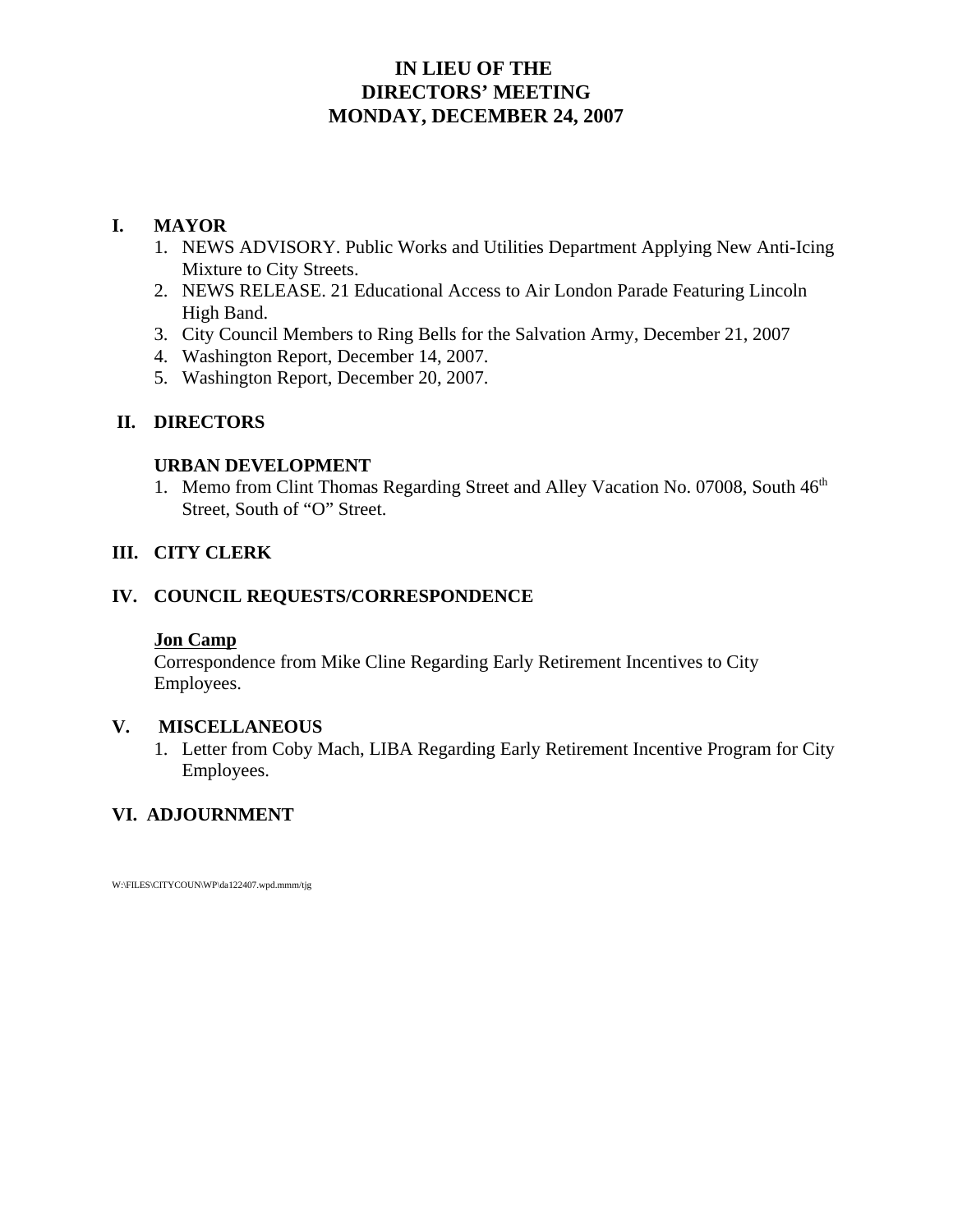# **IN LIEU OF THE DIRECTORS' MEETING MONDAY, DECEMBER 24, 2007**

# **I. MAYOR**

- 1. NEWS ADVISORY. Public Works and Utilities Department Applying New Anti-Icing Mixture to City Streets.
- 2. NEWS RELEASE. 21 Educational Access to Air London Parade Featuring Lincoln High Band.
- 3. City Council Members to Ring Bells for the Salvation Army, December 21, 2007
- 4. Washington Report, December 14, 2007.
- 5. Washington Report, December 20, 2007.

# **II. DIRECTORS**

# **URBAN DEVELOPMENT**

1. Memo from Clint Thomas Regarding Street and Alley Vacation No. 07008, South 46<sup>th</sup> Street, South of "O" Street.

# **III. CITY CLERK**

# **IV. COUNCIL REQUESTS/CORRESPONDENCE**

# **Jon Camp**

Correspondence from Mike Cline Regarding Early Retirement Incentives to City Employees.

# **V. MISCELLANEOUS**

1. Letter from Coby Mach, LIBA Regarding Early Retirement Incentive Program for City Employees.

# **VI. ADJOURNMENT**

W:\FILES\CITYCOUN\WP\da122407.wpd.mmm/tjg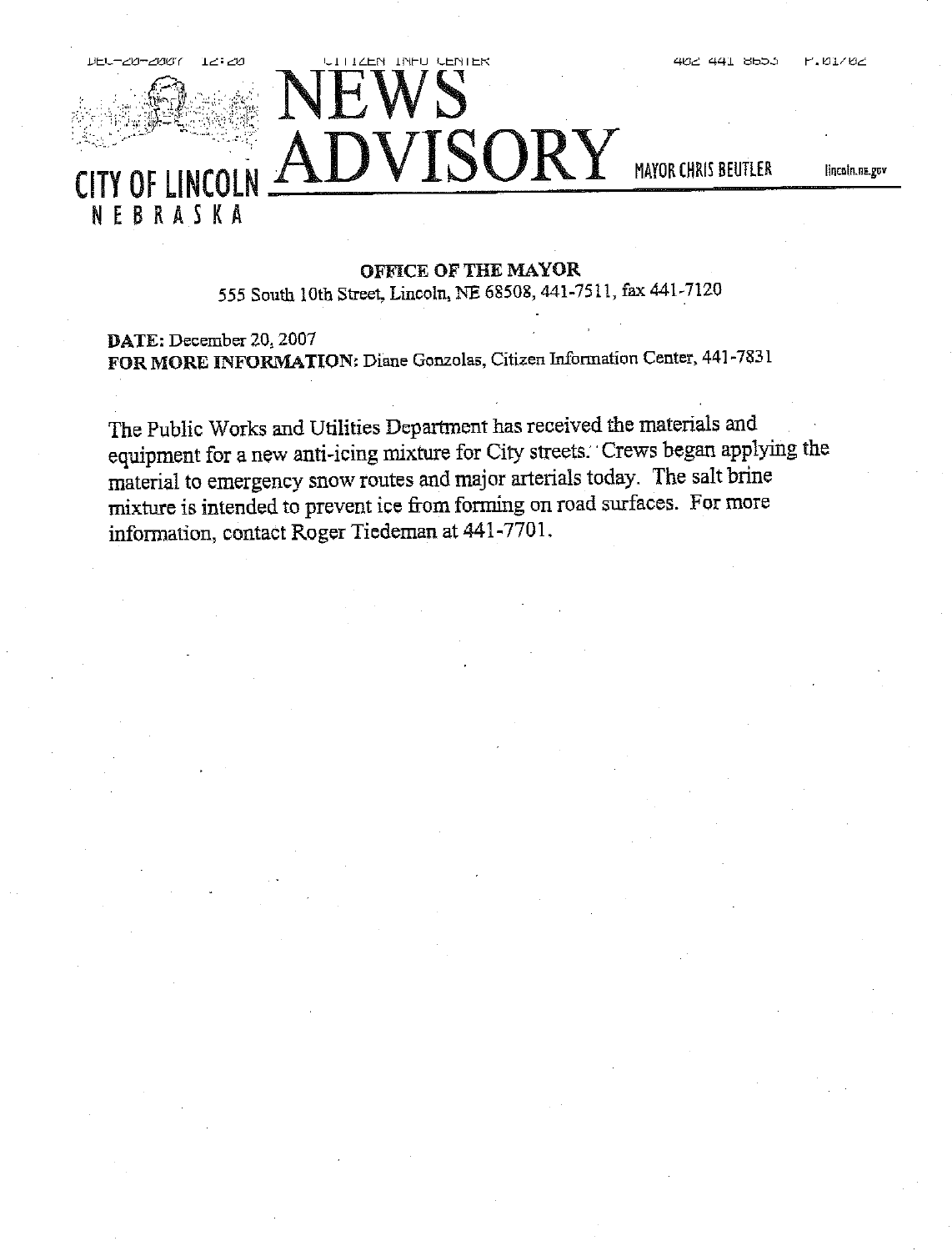

402 441 8653

**MAYOR CHRIS BEUTLER** 

lincoln.ne.gov

# **OFFICE OF THE MAYOR**

555 South 10th Street, Lincoln, NE 68508, 441-7511, fax 441-7120

DATE: December 20, 2007 FOR MORE INFORMATION: Diane Gonzolas, Citizen Information Center, 441-7831

The Public Works and Utilities Department has received the materials and equipment for a new anti-icing mixture for City streets. Crews began applying the material to emergency snow routes and major arterials today. The salt brine mixture is intended to prevent ice from forming on road surfaces. For more information, contact Roger Tiedeman at 441-7701.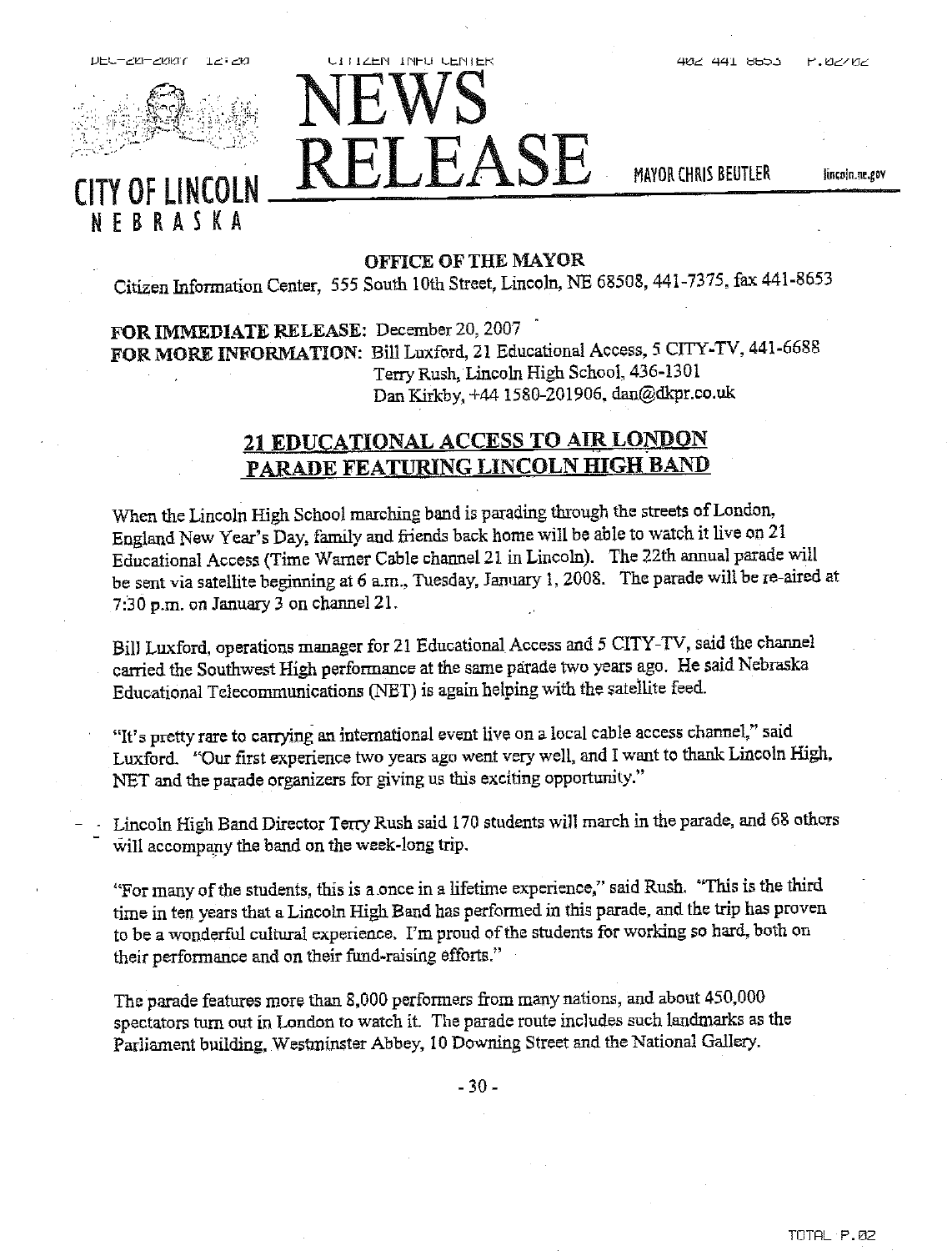

**CITY OF LINCOLN** NEBRASKA



402 441 8653

MAYOR CHRIS BEUTLER

lincoln.ne.gov

#### **OFFICE OF THE MAYOR**

Citizen Information Center, 555 South 10th Street, Lincoln, NE 68508, 441-7375, fax 441-8653

FOR IMMEDIATE RELEASE: December 20, 2007 FOR MORE INFORMATION: Bill Luxford, 21 Educational Access, 5 CITY-TV, 441-6688 Terry Rush, Lincoln High School, 436-1301 Dan Kirkby, +44 1580-201906, dan@dkpr.co.uk

# 21 EDUCATIONAL ACCESS TO AIR LONDON PARADE FEATURING LINCOLN HIGH BAND

When the Lincoln High School marching band is parading through the streets of London, England New Year's Day, family and friends back home will be able to watch it live on 21 Educational Access (Time Warner Cable channel 21 in Lincoln). The 22th annual parade will be sent via satellite beginning at 6 a.m., Tuesday, January 1, 2008. The parade will be re-aired at 7:30 p.m. on January 3 on channel 21.

Bill Luxford, operations manager for 21 Educational Access and 5 CITY-TV, said the channel carried the Southwest High performance at the same parade two years ago. He said Nebraska Educational Telecommunications (NET) is again helping with the satellite feed.

"It's pretty rare to carrying an international event live on a local cable access channel," said Luxford. "Our first experience two years ago went very well, and I want to thank Lincoln High, NET and the parade organizers for giving us this exciting opportunity."

Lincoln High Band Director Terry Rush said 170 students will march in the parade, and 68 others will accompany the band on the week-long trip.

"For many of the students, this is a once in a lifetime experience," said Rush. "This is the third time in ten years that a Lincoln High Band has performed in this parade, and the trip has proven to be a wonderful cultural experience. I'm proud of the students for working so hard, both on their performance and on their fund-raising efforts."

The parade features more than 8,000 performers from many nations, and about 450,000 spectators turn out in London to watch it. The parade route includes such landmarks as the Parliament building, Westminster Abbey, 10 Downing Street and the National Gallery.

 $-30-$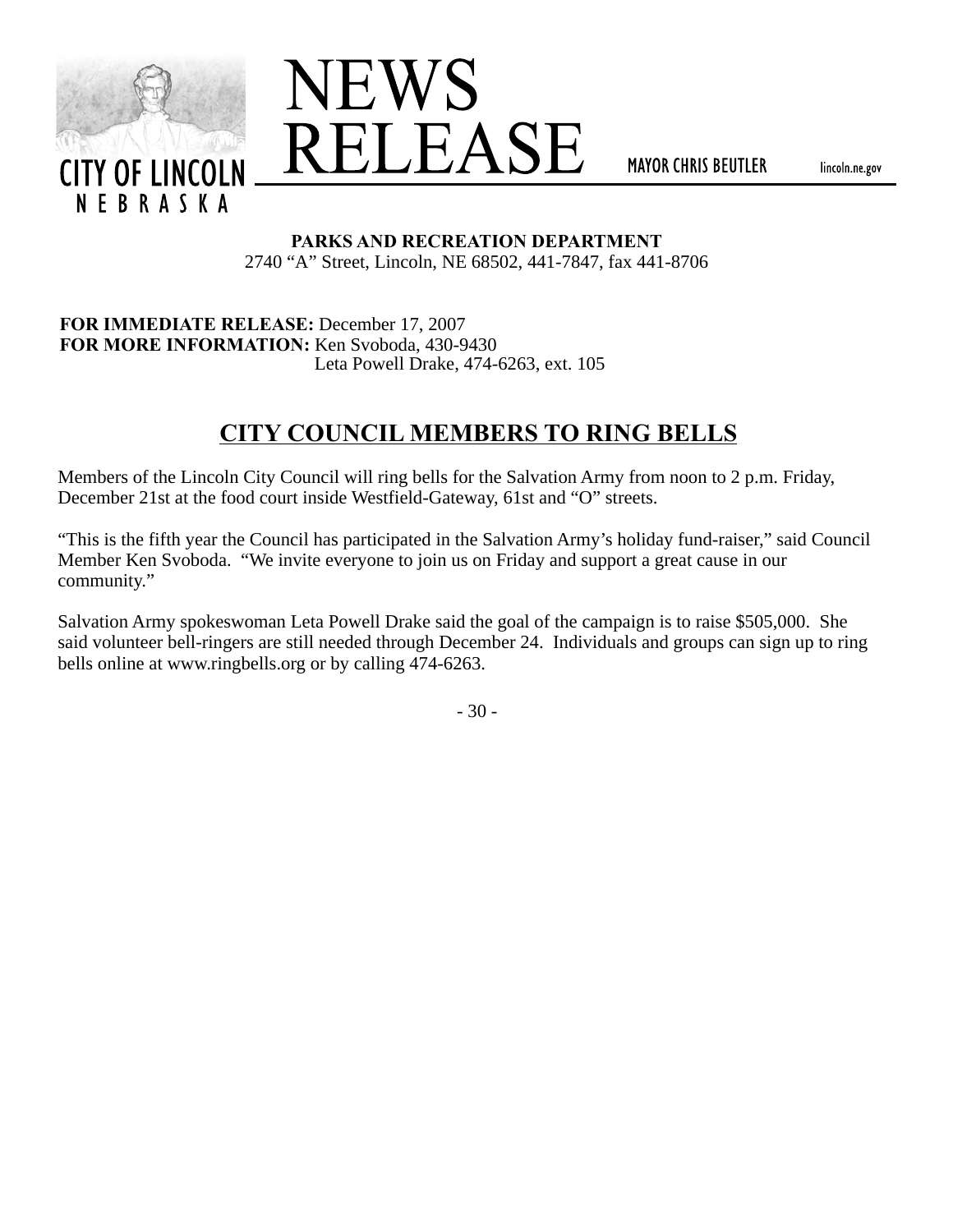



**MAYOR CHRIS BEUTLER** 

lincoln.ne.gov

**PARKS AND RECREATION DEPARTMENT** 2740 "A" Street, Lincoln, NE 68502, 441-7847, fax 441-8706

**FOR IMMEDIATE RELEASE:** December 17, 2007 **FOR MORE INFORMATION:** Ken Svoboda, 430-9430 Leta Powell Drake, 474-6263, ext. 105

# **CITY COUNCIL MEMBERS TO RING BELLS**

Members of the Lincoln City Council will ring bells for the Salvation Army from noon to 2 p.m. Friday, December 21st at the food court inside Westfield-Gateway, 61st and "O" streets.

"This is the fifth year the Council has participated in the Salvation Army's holiday fund-raiser," said Council Member Ken Svoboda. "We invite everyone to join us on Friday and support a great cause in our community."

Salvation Army spokeswoman Leta Powell Drake said the goal of the campaign is to raise \$505,000. She said volunteer bell-ringers are still needed through December 24. Individuals and groups can sign up to ring bells online at www.ringbells.org or by calling 474-6263.

- 30 -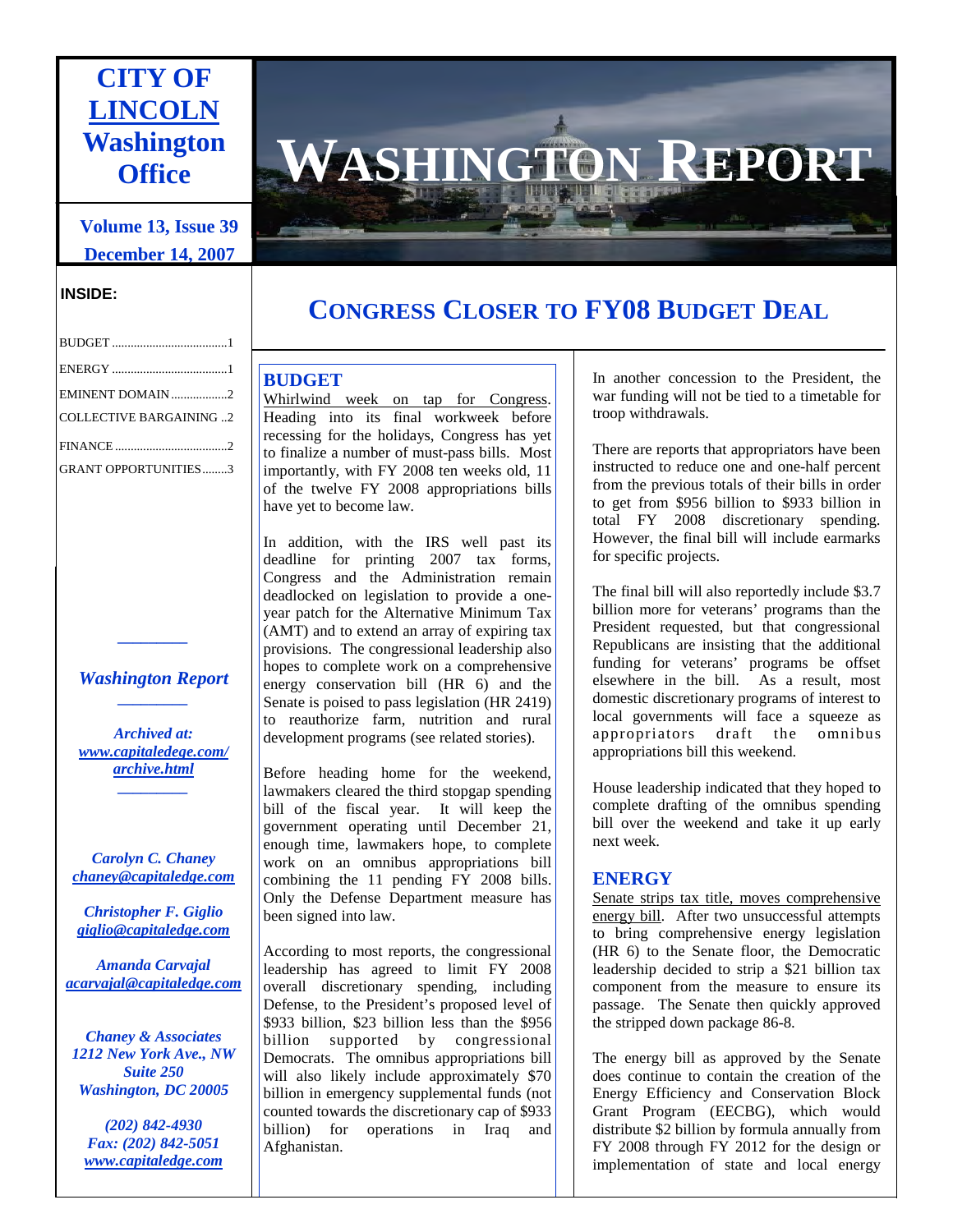# **CITY OF LINCOLN Washington Office**

# **Volume 13, Issue 39 December 14, 2007**

### **INSIDE:**

| EMINENT DOMAIN2                |
|--------------------------------|
| <b>COLLECTIVE BARGAINING 2</b> |
|                                |
| <b>GRANT OPPORTUNITIES3</b>    |

# *Washington Report \_\_\_\_\_\_\_\_\_*

*\_\_\_\_\_\_\_\_\_* 

*Archived at: www.capitaledege.com/ archive.html \_\_\_\_\_\_\_\_\_* 

*Carolyn C. Chaney chaney@capitaledge.com* 

*Christopher F. Giglio giglio@capitaledge.com*

*Amanda Carvajal acarvajal@capitaledge.com*

*Chaney & Associates 1212 New York Ave., NW Suite 250 Washington, DC 20005* 

*(202) 842-4930 Fax: (202) 842-5051 www.capitaledge.com*



# **CONGRESS CLOSER TO FY08 BUDGET DEAL**

## **BUDGET**

Whirlwind week on tap for Congress. Heading into its final workweek before recessing for the holidays, Congress has yet to finalize a number of must-pass bills. Most importantly, with FY 2008 ten weeks old, 11 of the twelve FY 2008 appropriations bills have yet to become law.

In addition, with the IRS well past its deadline for printing 2007 tax forms, Congress and the Administration remain deadlocked on legislation to provide a oneyear patch for the Alternative Minimum Tax (AMT) and to extend an array of expiring tax provisions. The congressional leadership also hopes to complete work on a comprehensive energy conservation bill (HR 6) and the Senate is poised to pass legislation (HR 2419) to reauthorize farm, nutrition and rural development programs (see related stories).

Before heading home for the weekend, lawmakers cleared the third stopgap spending bill of the fiscal year. It will keep the government operating until December 21, enough time, lawmakers hope, to complete work on an omnibus appropriations bill combining the 11 pending FY 2008 bills. Only the Defense Department measure has been signed into law.

According to most reports, the congressional leadership has agreed to limit FY 2008 overall discretionary spending, including Defense, to the President's proposed level of \$933 billion, \$23 billion less than the \$956 billion supported by congressional Democrats. The omnibus appropriations bill will also likely include approximately \$70 billion in emergency supplemental funds (not counted towards the discretionary cap of \$933 billion) for operations in Iraq and Afghanistan.

In another concession to the President, the war funding will not be tied to a timetable for troop withdrawals.

There are reports that appropriators have been instructed to reduce one and one-half percent from the previous totals of their bills in order to get from \$956 billion to \$933 billion in total FY 2008 discretionary spending. However, the final bill will include earmarks for specific projects.

The final bill will also reportedly include \$3.7 billion more for veterans' programs than the President requested, but that congressional Republicans are insisting that the additional funding for veterans' programs be offset elsewhere in the bill. As a result, most domestic discretionary programs of interest to local governments will face a squeeze as appropriators draft the omnibus appropriations bill this weekend.

House leadership indicated that they hoped to complete drafting of the omnibus spending bill over the weekend and take it up early next week.

### **ENERGY**

Senate strips tax title, moves comprehensive energy bill. After two unsuccessful attempts to bring comprehensive energy legislation (HR 6) to the Senate floor, the Democratic leadership decided to strip a \$21 billion tax component from the measure to ensure its passage. The Senate then quickly approved the stripped down package 86-8.

The energy bill as approved by the Senate does continue to contain the creation of the Energy Efficiency and Conservation Block Grant Program (EECBG), which would distribute \$2 billion by formula annually from FY 2008 through FY 2012 for the design or implementation of state and local energy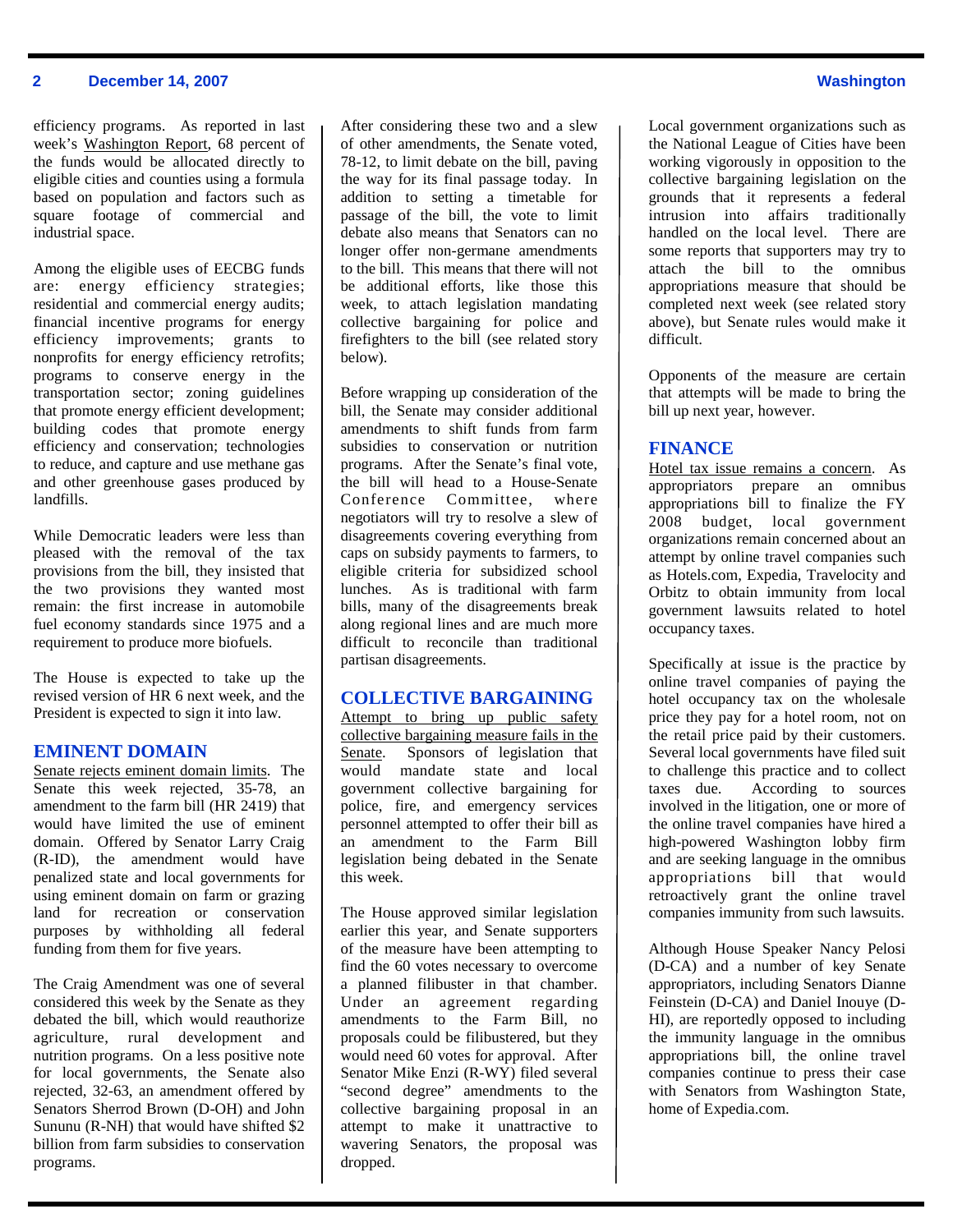#### **2 December 14, 2007 Washington**

efficiency programs. As reported in last week's Washington Report, 68 percent of the funds would be allocated directly to eligible cities and counties using a formula based on population and factors such as square footage of commercial and industrial space.

Among the eligible uses of EECBG funds are: energy efficiency strategies; residential and commercial energy audits; financial incentive programs for energy efficiency improvements; grants to nonprofits for energy efficiency retrofits; programs to conserve energy in the transportation sector; zoning guidelines that promote energy efficient development; building codes that promote energy efficiency and conservation; technologies to reduce, and capture and use methane gas and other greenhouse gases produced by landfills.

While Democratic leaders were less than pleased with the removal of the tax provisions from the bill, they insisted that the two provisions they wanted most remain: the first increase in automobile fuel economy standards since 1975 and a requirement to produce more biofuels.

The House is expected to take up the revised version of HR 6 next week, and the President is expected to sign it into law.

#### **EMINENT DOMAIN**

Senate rejects eminent domain limits. The Senate this week rejected, 35-78, an amendment to the farm bill (HR 2419) that would have limited the use of eminent domain. Offered by Senator Larry Craig (R-ID), the amendment would have penalized state and local governments for using eminent domain on farm or grazing land for recreation or conservation purposes by withholding all federal funding from them for five years.

The Craig Amendment was one of several considered this week by the Senate as they debated the bill, which would reauthorize agriculture, rural development and nutrition programs. On a less positive note for local governments, the Senate also rejected, 32-63, an amendment offered by Senators Sherrod Brown (D-OH) and John Sununu (R-NH) that would have shifted \$2 billion from farm subsidies to conservation programs.

After considering these two and a slew of other amendments, the Senate voted, 78-12, to limit debate on the bill, paving the way for its final passage today. In addition to setting a timetable for passage of the bill, the vote to limit debate also means that Senators can no longer offer non-germane amendments to the bill. This means that there will not be additional efforts, like those this week, to attach legislation mandating collective bargaining for police and firefighters to the bill (see related story below).

Before wrapping up consideration of the bill, the Senate may consider additional amendments to shift funds from farm subsidies to conservation or nutrition programs. After the Senate's final vote, the bill will head to a House-Senate Conference Committee, where negotiators will try to resolve a slew of disagreements covering everything from caps on subsidy payments to farmers, to eligible criteria for subsidized school lunches. As is traditional with farm bills, many of the disagreements break along regional lines and are much more difficult to reconcile than traditional partisan disagreements.

#### **COLLECTIVE BARGAINING**

Attempt to bring up public safety collective bargaining measure fails in the Senate. Sponsors of legislation that would mandate state and local government collective bargaining for police, fire, and emergency services personnel attempted to offer their bill as an amendment to the Farm Bill legislation being debated in the Senate this week.

The House approved similar legislation earlier this year, and Senate supporters of the measure have been attempting to find the 60 votes necessary to overcome a planned filibuster in that chamber. Under an agreement regarding amendments to the Farm Bill, no proposals could be filibustered, but they would need 60 votes for approval. After Senator Mike Enzi (R-WY) filed several "second degree" amendments to the collective bargaining proposal in an attempt to make it unattractive to wavering Senators, the proposal was dropped.

Local government organizations such as the National League of Cities have been working vigorously in opposition to the collective bargaining legislation on the grounds that it represents a federal intrusion into affairs traditionally handled on the local level. There are some reports that supporters may try to attach the bill to the omnibus appropriations measure that should be completed next week (see related story above), but Senate rules would make it difficult.

Opponents of the measure are certain that attempts will be made to bring the bill up next year, however.

#### **FINANCE**

Hotel tax issue remains a concern. As appropriators prepare an omnibus appropriations bill to finalize the FY 2008 budget, local government organizations remain concerned about an attempt by online travel companies such as Hotels.com, Expedia, Travelocity and Orbitz to obtain immunity from local government lawsuits related to hotel occupancy taxes.

Specifically at issue is the practice by online travel companies of paying the hotel occupancy tax on the wholesale price they pay for a hotel room, not on the retail price paid by their customers. Several local governments have filed suit to challenge this practice and to collect taxes due. According to sources involved in the litigation, one or more of the online travel companies have hired a high-powered Washington lobby firm and are seeking language in the omnibus appropriations bill that would retroactively grant the online travel companies immunity from such lawsuits.

Although House Speaker Nancy Pelosi (D-CA) and a number of key Senate appropriators, including Senators Dianne Feinstein (D-CA) and Daniel Inouye (D-HI), are reportedly opposed to including the immunity language in the omnibus appropriations bill, the online travel companies continue to press their case with Senators from Washington State, home of Expedia.com.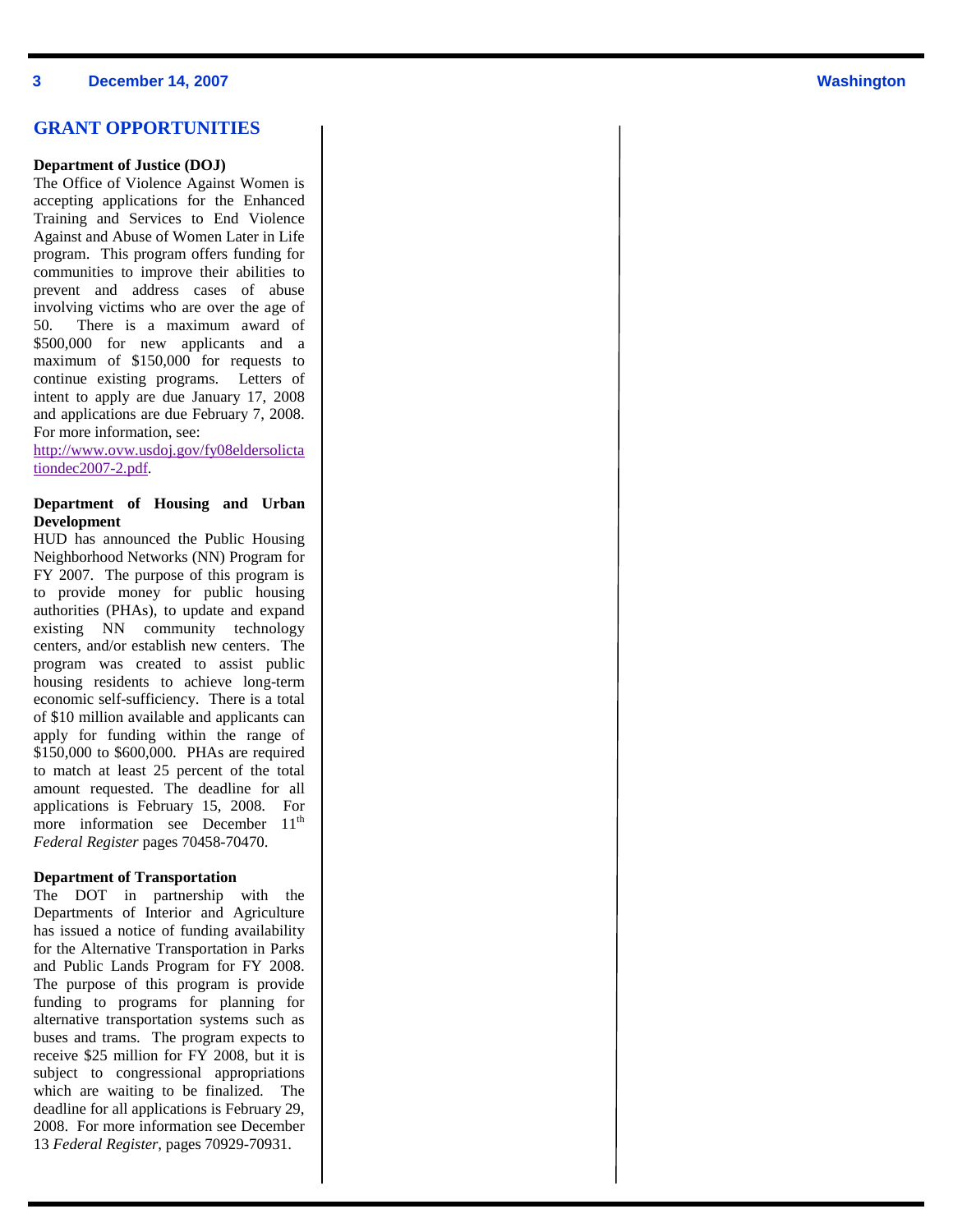### **GRANT OPPORTUNITIES**

#### **Department of Justice (DOJ)**

The Office of Violence Against Women is accepting applications for the Enhanced Training and Services to End Violence Against and Abuse of Women Later in Life program. This program offers funding for communities to improve their abilities to prevent and address cases of abuse involving victims who are over the age of 50. There is a maximum award of \$500,000 for new applicants and a maximum of \$150,000 for requests to continue existing programs. Letters of intent to apply are due January 17, 2008 and applications are due February 7, 2008. For more information, see:

http://www.ovw.usdoj.gov/fy08eldersolicta tiondec2007-2.pdf.

#### **Department of Housing and Urban Development**

HUD has announced the Public Housing Neighborhood Networks (NN) Program for FY 2007. The purpose of this program is to provide money for public housing authorities (PHAs), to update and expand existing NN community technology centers, and/or establish new centers. The program was created to assist public housing residents to achieve long-term economic self-sufficiency. There is a total of \$10 million available and applicants can apply for funding within the range of \$150,000 to \$600,000. PHAs are required to match at least 25 percent of the total amount requested. The deadline for all applications is February 15, 2008. For more information see December 11<sup>th</sup> *Federal Register* pages 70458-70470.

#### **Department of Transportation**

The DOT in partnership with the Departments of Interior and Agriculture has issued a notice of funding availability for the Alternative Transportation in Parks and Public Lands Program for FY 2008. The purpose of this program is provide funding to programs for planning for alternative transportation systems such as buses and trams. The program expects to receive \$25 million for FY 2008, but it is subject to congressional appropriations which are waiting to be finalized. The deadline for all applications is February 29, 2008. For more information see December 13 *Federal Register*, pages 70929-70931.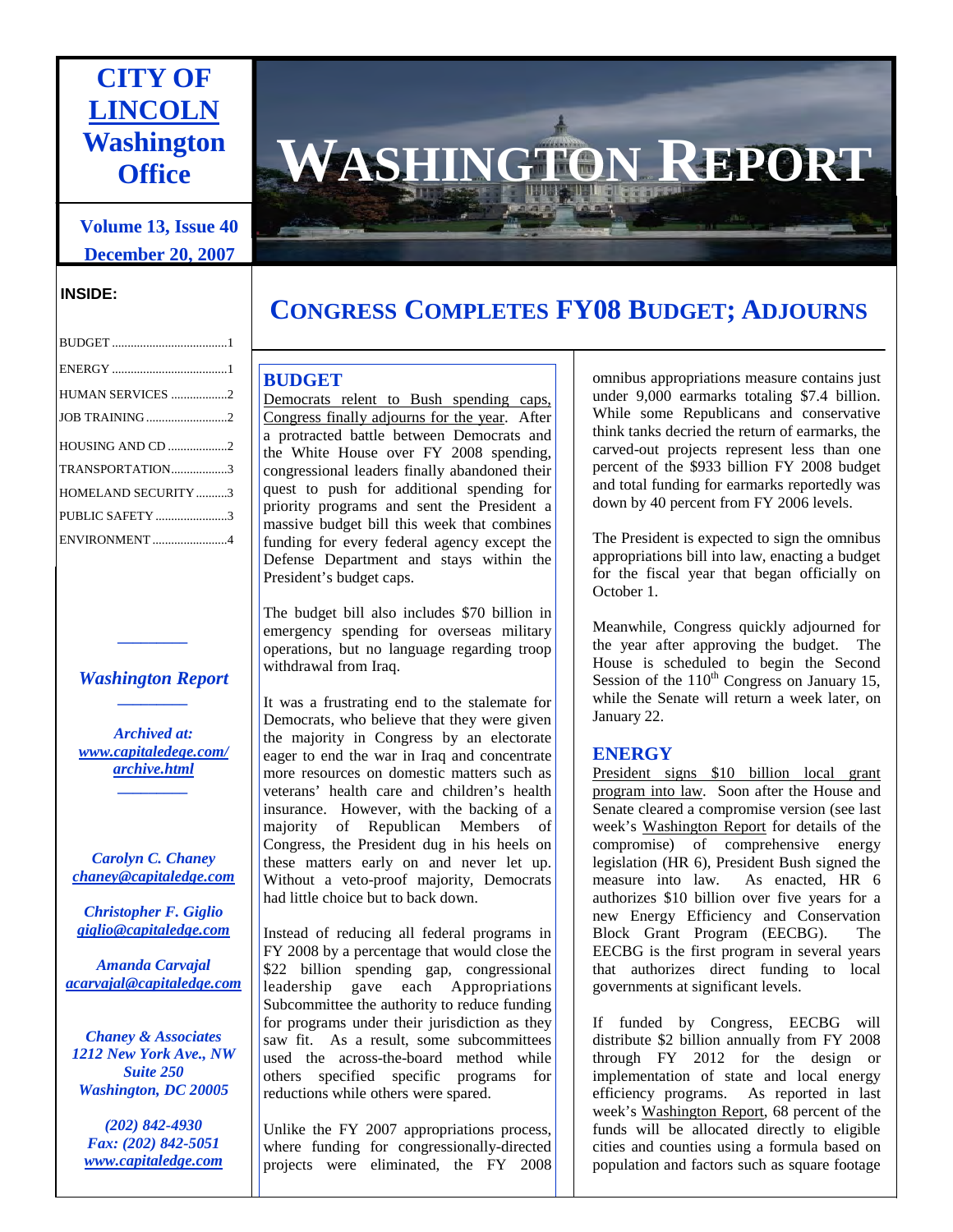# **CITY OF LINCOLN Washington Office**

# **Volume 13, Issue 40 December 20, 2007**

### **INSIDE:**

| HUMAN SERVICES 2          |
|---------------------------|
|                           |
| HOUSING AND CD 2          |
| TRANSPORTATION3           |
| <b>HOMELAND SECURITY3</b> |
| PUBLIC SAFETY 3           |
| ENVIRONMENT4              |
|                           |

# *Washington Report \_\_\_\_\_\_\_\_\_*

*\_\_\_\_\_\_\_\_\_* 

*Archived at: www.capitaledege.com/ archive.html \_\_\_\_\_\_\_\_\_* 

*Carolyn C. Chaney chaney@capitaledge.com* 

*Christopher F. Giglio giglio@capitaledge.com*

*Amanda Carvajal acarvajal@capitaledge.com*

*Chaney & Associates 1212 New York Ave., NW Suite 250 Washington, DC 20005* 

*(202) 842-4930 Fax: (202) 842-5051 www.capitaledge.com*



# **CONGRESS COMPLETES FY08 BUDGET; ADJOURNS**

### **BUDGET**

Democrats relent to Bush spending caps, Congress finally adjourns for the year. After a protracted battle between Democrats and the White House over FY 2008 spending, congressional leaders finally abandoned their quest to push for additional spending for priority programs and sent the President a massive budget bill this week that combines funding for every federal agency except the Defense Department and stays within the President's budget caps.

The budget bill also includes \$70 billion in emergency spending for overseas military operations, but no language regarding troop withdrawal from Iraq.

It was a frustrating end to the stalemate for Democrats, who believe that they were given the majority in Congress by an electorate eager to end the war in Iraq and concentrate more resources on domestic matters such as veterans' health care and children's health insurance. However, with the backing of a majority of Republican Members of Congress, the President dug in his heels on these matters early on and never let up. Without a veto-proof majority, Democrats had little choice but to back down.

Instead of reducing all federal programs in FY 2008 by a percentage that would close the \$22 billion spending gap, congressional leadership gave each Appropriations Subcommittee the authority to reduce funding for programs under their jurisdiction as they saw fit. As a result, some subcommittees used the across-the-board method while others specified specific programs for reductions while others were spared.

Unlike the FY 2007 appropriations process, where funding for congressionally-directed projects were eliminated, the FY 2008

omnibus appropriations measure contains just under 9,000 earmarks totaling \$7.4 billion. While some Republicans and conservative think tanks decried the return of earmarks, the carved-out projects represent less than one percent of the \$933 billion FY 2008 budget and total funding for earmarks reportedly was down by 40 percent from FY 2006 levels.

The President is expected to sign the omnibus appropriations bill into law, enacting a budget for the fiscal year that began officially on October 1.

Meanwhile, Congress quickly adjourned for the year after approving the budget. The House is scheduled to begin the Second Session of the  $110^{th}$  Congress on January 15, while the Senate will return a week later, on January 22.

### **ENERGY**

President signs \$10 billion local grant program into law. Soon after the House and Senate cleared a compromise version (see last week's Washington Report for details of the compromise) of comprehensive energy legislation (HR 6), President Bush signed the measure into law. As enacted, HR 6 authorizes \$10 billion over five years for a new Energy Efficiency and Conservation Block Grant Program (EECBG). The EECBG is the first program in several years that authorizes direct funding to local governments at significant levels.

If funded by Congress, EECBG will distribute \$2 billion annually from FY 2008 through FY 2012 for the design or implementation of state and local energy efficiency programs. As reported in last week's Washington Report, 68 percent of the funds will be allocated directly to eligible cities and counties using a formula based on population and factors such as square footage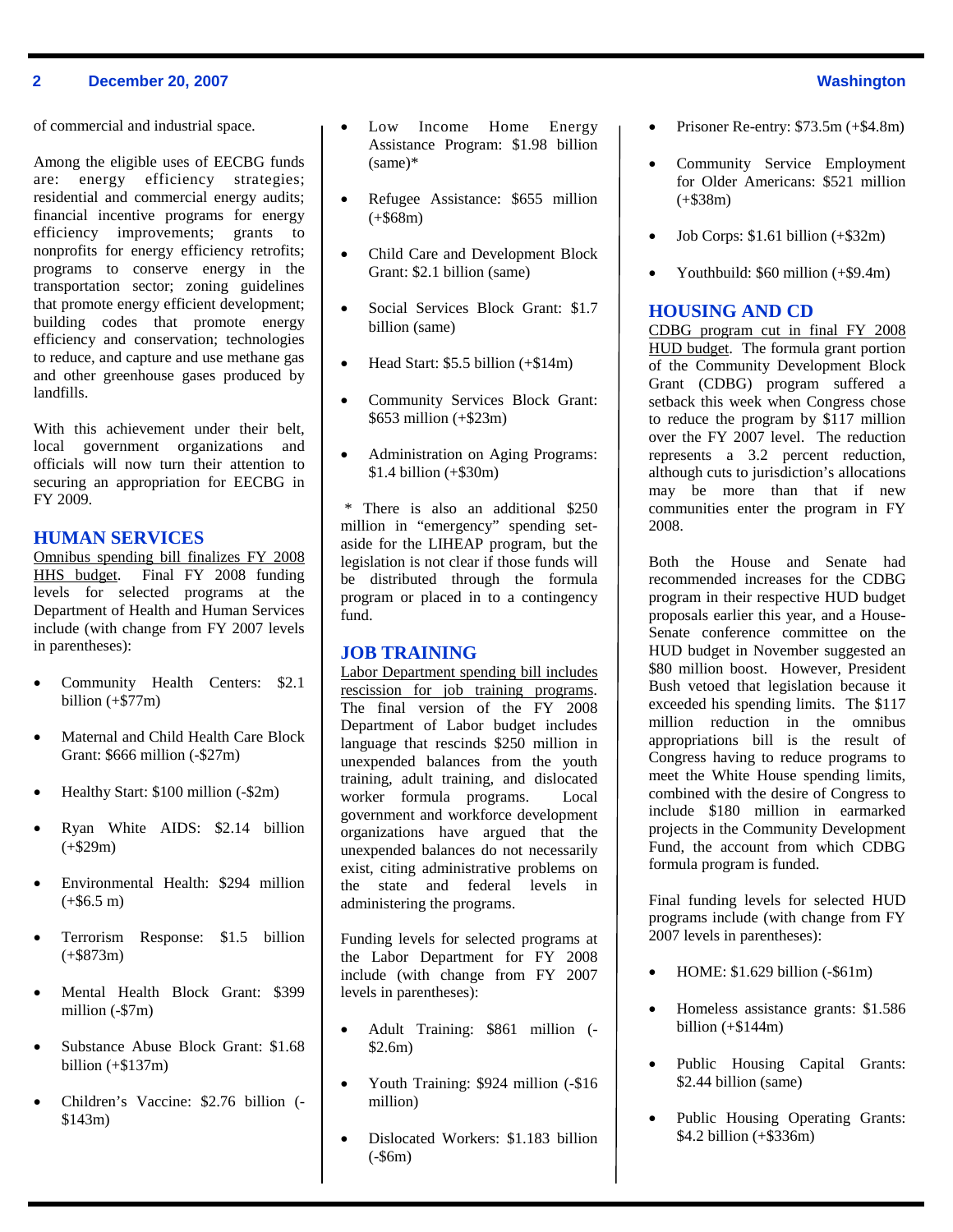#### **2 December 20, 2007 Washington**

of commercial and industrial space.

Among the eligible uses of EECBG funds are: energy efficiency strategies; residential and commercial energy audits; financial incentive programs for energy efficiency improvements; grants to nonprofits for energy efficiency retrofits; programs to conserve energy in the transportation sector; zoning guidelines that promote energy efficient development; building codes that promote energy efficiency and conservation; technologies to reduce, and capture and use methane gas and other greenhouse gases produced by landfills.

With this achievement under their belt, local government organizations and officials will now turn their attention to securing an appropriation for EECBG in FY 2009.

#### **HUMAN SERVICES**

Omnibus spending bill finalizes FY 2008 HHS budget. Final FY 2008 funding levels for selected programs at the Department of Health and Human Services include (with change from FY 2007 levels in parentheses):

- Community Health Centers: \$2.1 billion  $(+\$77m)$
- Maternal and Child Health Care Block Grant: \$666 million (-\$27m)
- Healthy Start: \$100 million (-\$2m)
- Ryan White AIDS: \$2.14 billion  $(+\$29m)$
- Environmental Health: \$294 million  $(+\$6.5 \text{ m})$
- Terrorism Response: \$1.5 billion  $(+\$873m)$
- Mental Health Block Grant: \$399 million (-\$7m)
- Substance Abuse Block Grant: \$1.68 billion  $(+\$137m)$
- Children's Vaccine: \$2.76 billion (- \$143m)
- Low Income Home Energy Assistance Program: \$1.98 billion (same)\*
- Refugee Assistance: \$655 million  $(+\$68m)$
- Child Care and Development Block Grant: \$2.1 billion (same)
- Social Services Block Grant: \$1.7 billion (same)
- Head Start: \$5.5 billion (+\$14m)
- Community Services Block Grant: \$653 million (+\$23m)
- Administration on Aging Programs: \$1.4 billion (+\$30m)

 \* There is also an additional \$250 million in "emergency" spending setaside for the LIHEAP program, but the legislation is not clear if those funds will be distributed through the formula program or placed in to a contingency fund.

#### **JOB TRAINING**

Labor Department spending bill includes rescission for job training programs. The final version of the FY 2008 Department of Labor budget includes language that rescinds \$250 million in unexpended balances from the youth training, adult training, and dislocated worker formula programs. Local government and workforce development organizations have argued that the unexpended balances do not necessarily exist, citing administrative problems on the state and federal levels in administering the programs.

Funding levels for selected programs at the Labor Department for FY 2008 include (with change from FY 2007 levels in parentheses):

- Adult Training: \$861 million (- \$2.6m)
- Youth Training: \$924 million (-\$16 million)
- Dislocated Workers: \$1.183 billion (-\$6m)
- Prisoner Re-entry: \$73.5m (+\$4.8m)
- Community Service Employment for Older Americans: \$521 million  $(+\$38m)$
- Job Corps: \$1.61 billion (+\$32m)
- Youthbuild: \$60 million (+\$9.4m)

#### **HOUSING AND CD**

CDBG program cut in final FY 2008 HUD budget. The formula grant portion of the Community Development Block Grant (CDBG) program suffered a setback this week when Congress chose to reduce the program by \$117 million over the FY 2007 level. The reduction represents a 3.2 percent reduction, although cuts to jurisdiction's allocations may be more than that if new communities enter the program in FY 2008.

Both the House and Senate had recommended increases for the CDBG program in their respective HUD budget proposals earlier this year, and a House-Senate conference committee on the HUD budget in November suggested an \$80 million boost. However, President Bush vetoed that legislation because it exceeded his spending limits. The \$117 million reduction in the omnibus appropriations bill is the result of Congress having to reduce programs to meet the White House spending limits, combined with the desire of Congress to include \$180 million in earmarked projects in the Community Development Fund, the account from which CDBG formula program is funded.

Final funding levels for selected HUD programs include (with change from FY 2007 levels in parentheses):

- HOME: \$1.629 billion (-\$61m)
- Homeless assistance grants: \$1.586 billion  $(+\$144m)$
- Public Housing Capital Grants: \$2.44 billion (same)
- Public Housing Operating Grants: \$4.2 billion (+\$336m)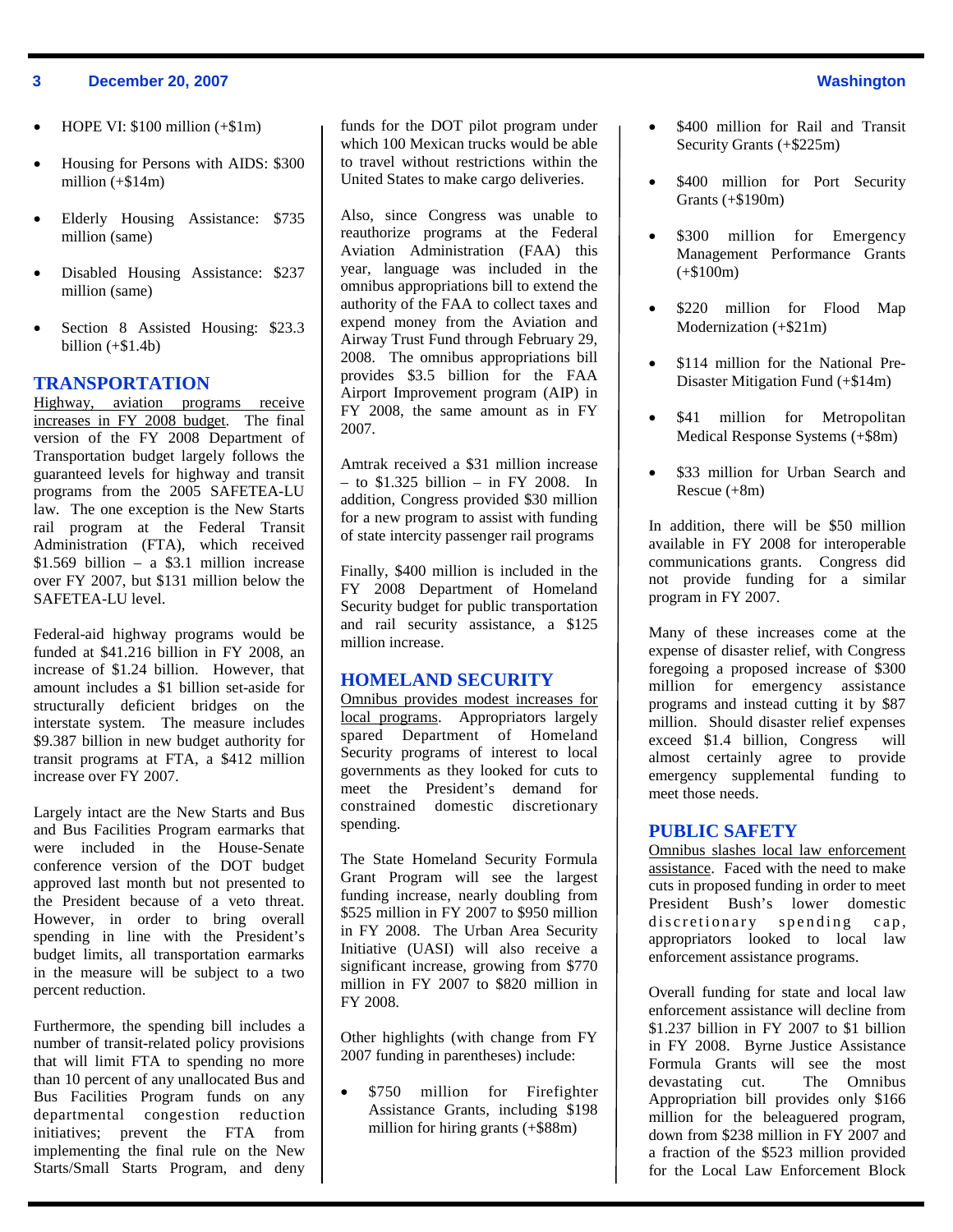#### **3 December 20, 2007 Washington**

- HOPE VI:  $$100$  million  $(+\$1m)$
- Housing for Persons with AIDS: \$300 million  $(+\$14m)$
- Elderly Housing Assistance: \$735 million (same)
- Disabled Housing Assistance: \$237 million (same)
- Section 8 Assisted Housing: \$23.3 billion  $(+\$1.4b)$

#### **TRANSPORTATION**

Highway, aviation programs receive increases in FY 2008 budget. The final version of the FY 2008 Department of Transportation budget largely follows the guaranteed levels for highway and transit programs from the 2005 SAFETEA-LU law. The one exception is the New Starts rail program at the Federal Transit Administration (FTA), which received  $$1.569$  billion – a \$3.1 million increase over FY 2007, but \$131 million below the SAFETEA-LU level.

Federal-aid highway programs would be funded at \$41.216 billion in FY 2008, an increase of \$1.24 billion. However, that amount includes a \$1 billion set-aside for structurally deficient bridges on the interstate system. The measure includes \$9.387 billion in new budget authority for transit programs at FTA, a \$412 million increase over FY 2007.

Largely intact are the New Starts and Bus and Bus Facilities Program earmarks that were included in the House-Senate conference version of the DOT budget approved last month but not presented to the President because of a veto threat. However, in order to bring overall spending in line with the President's budget limits, all transportation earmarks in the measure will be subject to a two percent reduction.

Furthermore, the spending bill includes a number of transit-related policy provisions that will limit FTA to spending no more than 10 percent of any unallocated Bus and Bus Facilities Program funds on any departmental congestion reduction initiatives; prevent the FTA from implementing the final rule on the New Starts/Small Starts Program, and deny

funds for the DOT pilot program under which 100 Mexican trucks would be able to travel without restrictions within the United States to make cargo deliveries.

Also, since Congress was unable to reauthorize programs at the Federal Aviation Administration (FAA) this year, language was included in the omnibus appropriations bill to extend the authority of the FAA to collect taxes and expend money from the Aviation and Airway Trust Fund through February 29, 2008. The omnibus appropriations bill provides \$3.5 billion for the FAA Airport Improvement program (AIP) in FY 2008, the same amount as in FY 2007.

Amtrak received a \$31 million increase – to \$1.325 billion – in FY 2008. In addition, Congress provided \$30 million for a new program to assist with funding of state intercity passenger rail programs

Finally, \$400 million is included in the FY 2008 Department of Homeland Security budget for public transportation and rail security assistance, a \$125 million increase.

#### **HOMELAND SECURITY**

Omnibus provides modest increases for local programs. Appropriators largely spared Department of Homeland Security programs of interest to local governments as they looked for cuts to meet the President's demand for constrained domestic discretionary spending.

The State Homeland Security Formula Grant Program will see the largest funding increase, nearly doubling from \$525 million in FY 2007 to \$950 million in FY 2008. The Urban Area Security Initiative (UASI) will also receive a significant increase, growing from \$770 million in FY 2007 to \$820 million in FY 2008.

Other highlights (with change from FY 2007 funding in parentheses) include:

\$750 million for Firefighter Assistance Grants, including \$198 million for hiring grants (+\$88m)

- \$400 million for Rail and Transit Security Grants (+\$225m)
- \$400 million for Port Security Grants (+\$190m)
- \$300 million for Emergency Management Performance Grants  $(+\$100m)$
- \$220 million for Flood Map Modernization (+\$21m)
- \$114 million for the National Pre-Disaster Mitigation Fund (+\$14m)
- \$41 million for Metropolitan Medical Response Systems (+\$8m)
- \$33 million for Urban Search and Rescue (+8m)

In addition, there will be \$50 million available in FY 2008 for interoperable communications grants. Congress did not provide funding for a similar program in FY 2007.

Many of these increases come at the expense of disaster relief, with Congress foregoing a proposed increase of \$300 million for emergency assistance programs and instead cutting it by \$87 million. Should disaster relief expenses exceed \$1.4 billion, Congress will almost certainly agree to provide emergency supplemental funding to meet those needs.

#### **PUBLIC SAFETY**

Omnibus slashes local law enforcement assistance. Faced with the need to make cuts in proposed funding in order to meet President Bush's lower domestic discretionary spending cap, appropriators looked to local law enforcement assistance programs.

Overall funding for state and local law enforcement assistance will decline from \$1.237 billion in FY 2007 to \$1 billion in FY 2008. Byrne Justice Assistance Formula Grants will see the most devastating cut. The Omnibus Appropriation bill provides only \$166 million for the beleaguered program, down from \$238 million in FY 2007 and a fraction of the \$523 million provided for the Local Law Enforcement Block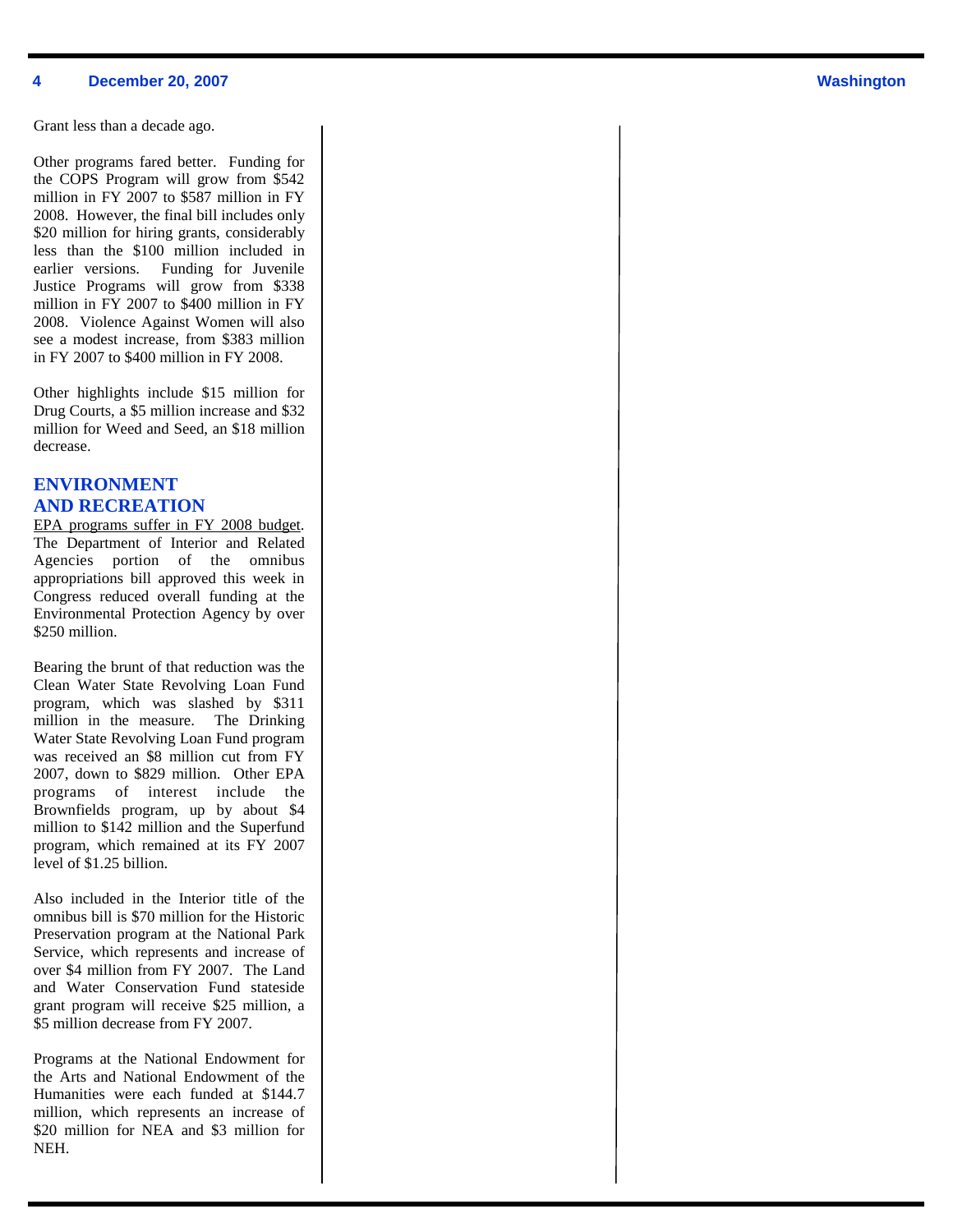#### **4 December 20, 2007 Washington**

Grant less than a decade ago.

Other programs fared better. Funding for the COPS Program will grow from \$542 million in FY 2007 to \$587 million in FY 2008. However, the final bill includes only \$20 million for hiring grants, considerably less than the \$100 million included in earlier versions. Funding for Juvenile Justice Programs will grow from \$338 million in FY 2007 to \$400 million in FY 2008. Violence Against Women will also see a modest increase, from \$383 million in FY 2007 to \$400 million in FY 2008.

Other highlights include \$15 million for Drug Courts, a \$5 million increase and \$32 million for Weed and Seed, an \$18 million decrease.

# **ENVIRONMENT AND RECREATION**

EPA programs suffer in FY 2008 budget. The Department of Interior and Related Agencies portion of the omnibus appropriations bill approved this week in Congress reduced overall funding at the Environmental Protection Agency by over \$250 million.

Bearing the brunt of that reduction was the Clean Water State Revolving Loan Fund program, which was slashed by \$311 million in the measure. The Drinking Water State Revolving Loan Fund program was received an \$8 million cut from FY 2007, down to \$829 million. Other EPA programs of interest include the Brownfields program, up by about \$4 million to \$142 million and the Superfund program, which remained at its FY 2007 level of \$1.25 billion.

Also included in the Interior title of the omnibus bill is \$70 million for the Historic Preservation program at the National Park Service, which represents and increase of over \$4 million from FY 2007. The Land and Water Conservation Fund stateside grant program will receive \$25 million, a \$5 million decrease from FY 2007.

Programs at the National Endowment for the Arts and National Endowment of the Humanities were each funded at \$144.7 million, which represents an increase of \$20 million for NEA and \$3 million for NEH.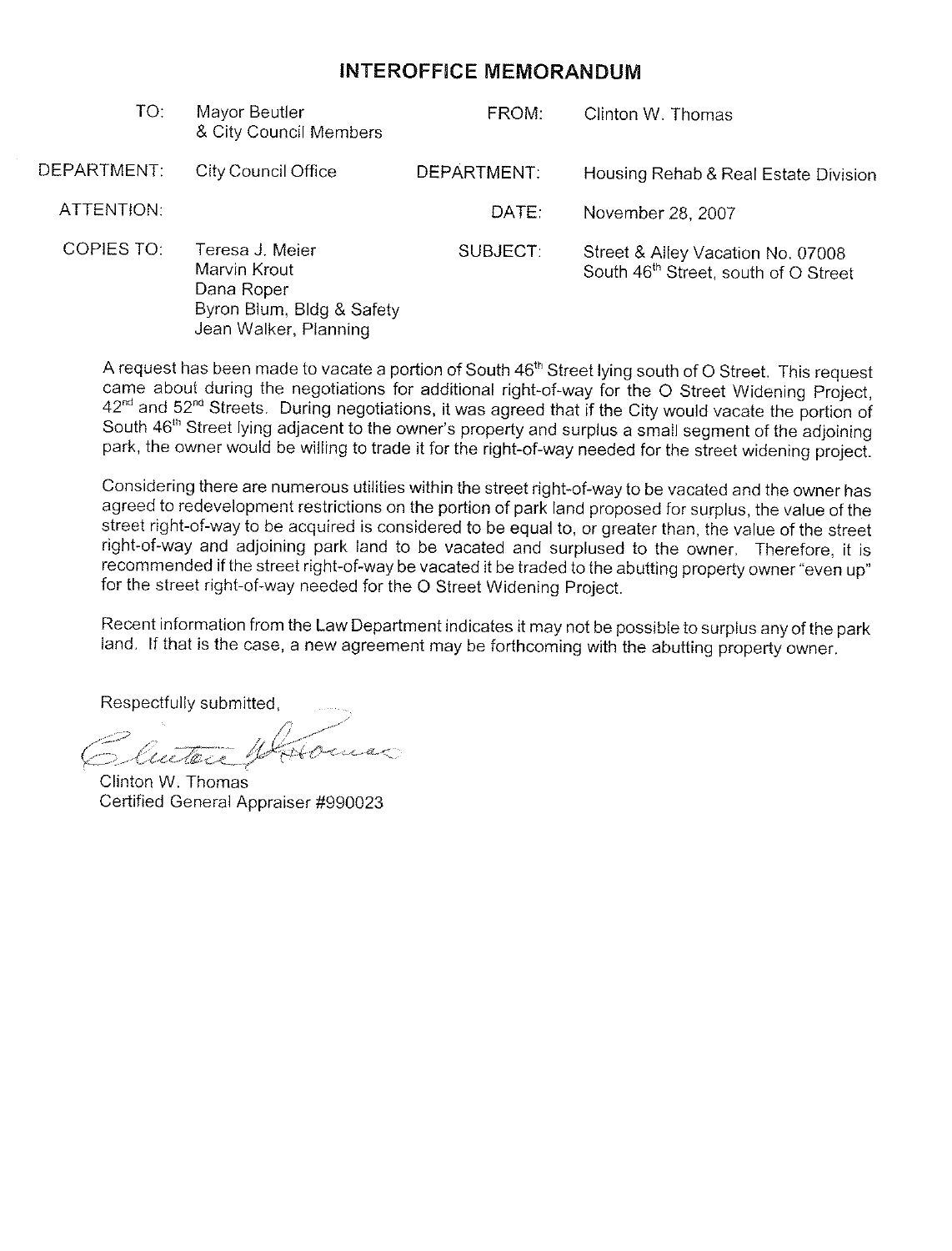# **INTEROFFICE MEMORANDUM**

| TO:         | Mayor Beutler<br>& City Council Members                                                             | FROM:       | Clinton W. Thomas                                                                     |
|-------------|-----------------------------------------------------------------------------------------------------|-------------|---------------------------------------------------------------------------------------|
| DEPARTMENT: | City Council Office                                                                                 | DEPARTMENT: | Housing Rehab & Real Estate Division                                                  |
| ATTENTION:  |                                                                                                     | DATE:       | November 28, 2007                                                                     |
| COPIES TO:  | Teresa J. Meier<br>Marvin Krout<br>Dana Roper<br>Byron Blum, Bldg & Safety<br>Jean Walker, Planning | SUBJECT:    | Street & Alley Vacation No. 07008<br>South 46 <sup>th</sup> Street, south of O Street |

A request has been made to vacate a portion of South 46<sup>th</sup> Street lying south of O Street. This request came about during the negotiations for additional right-of-way for the O Street Widening Project, 42<sup>nd</sup> and 52<sup>nd</sup> Streets. During negotiations, it was agreed that if the City would vacate the portion of South 46<sup>th</sup> Street lying adjacent to the owner's property and surplus a small segment of the adjoining park, the owner would be willing to trade it for the right-of-way needed for the street widening project.

Considering there are numerous utilities within the street right-of-way to be vacated and the owner has agreed to redevelopment restrictions on the portion of park land proposed for surplus, the value of the street right-of-way to be acquired is considered to be equal to, or greater than, the value of the street right-of-way and adjoining park land to be vacated and surplused to the owner. Therefore, it is recommended if the street right-of-way be vacated it be traded to the abutting property owner "even up" for the street right-of-way needed for the O Street Widening Project.

Recent information from the Law Department indicates it may not be possible to surplus any of the park land. If that is the case, a new agreement may be forthcoming with the abutting property owner.

Respectfully submitted.

Sluttere Watomas

Clinton W. Thomas Certified General Appraiser #990023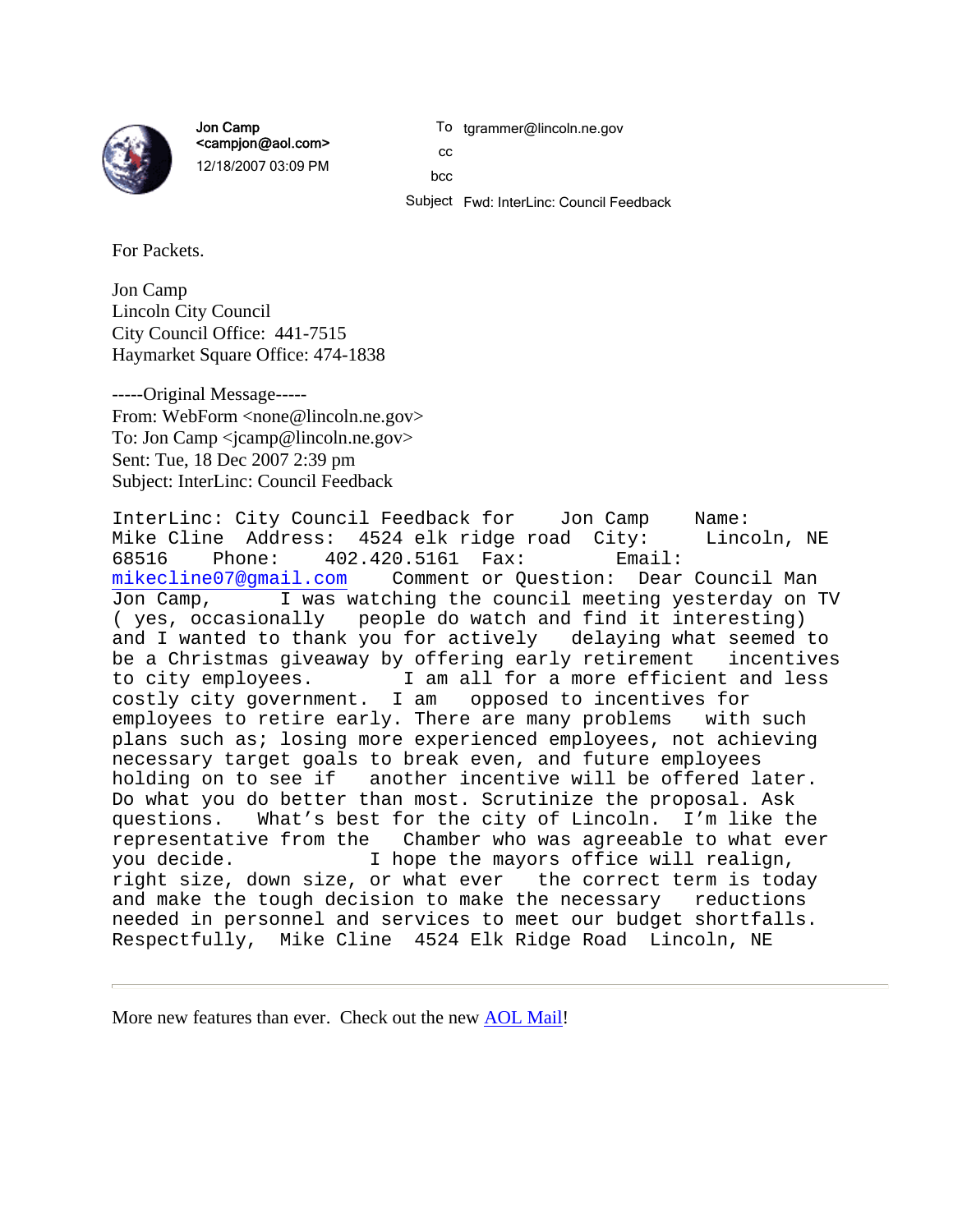

Jon Camp <campjon@aol.com> 12/18/2007 03:09 PM To tgrammer@lincoln.ne.gov

cc bcc

Subject Fwd: InterLinc: Council Feedback

For Packets.

Jon Camp Lincoln City Council City Council Office: 441-7515 Haymarket Square Office: 474-1838

-----Original Message----- From: WebForm <none@lincoln.ne.gov> To: Jon Camp <jcamp@lincoln.ne.gov> Sent: Tue, 18 Dec 2007 2:39 pm Subject: InterLinc: Council Feedback

InterLinc: City Council Feedback for Jon Camp Name: Mike Cline Address: 4524 elk ridge road City: Lincoln, NE 68516 Phone: 402.420.5161 Fax: Email:<br>mikecline07@qmail.com Comment or Question: Dear Comment or Question: Dear Council Man  $\overline{J}$ on Camp,  $\overline{I}$  was watching the council meeting yesterday on TV ( yes, occasionally people do watch and find it interesting) and I wanted to thank you for actively delaying what seemed to be a Christmas giveaway by offering early retirement incentives to city employees. I am all for a more efficient and less<br>costly city government. I am opposed to incentives for costly city government. I am opposed to incentives for employees to retire early. There are many problems with such plans such as; losing more experienced employees, not achieving necessary target goals to break even, and future employees holding on to see if another incentive will be offered later. Do what you do better than most. Scrutinize the proposal. Ask questions. What's best for the city of Lincoln. I'm like the representative from the Chamber who was agreeable to what ever you decide. I hope the mayors office will realign, right size, down size, or what ever the correct term is today and make the tough decision to make the necessary reductions needed in personnel and services to meet our budget shortfalls. Respectfully, Mike Cline 4524 Elk Ridge Road Lincoln, NE

More new features than ever. Check out the new **AOL Mail!**